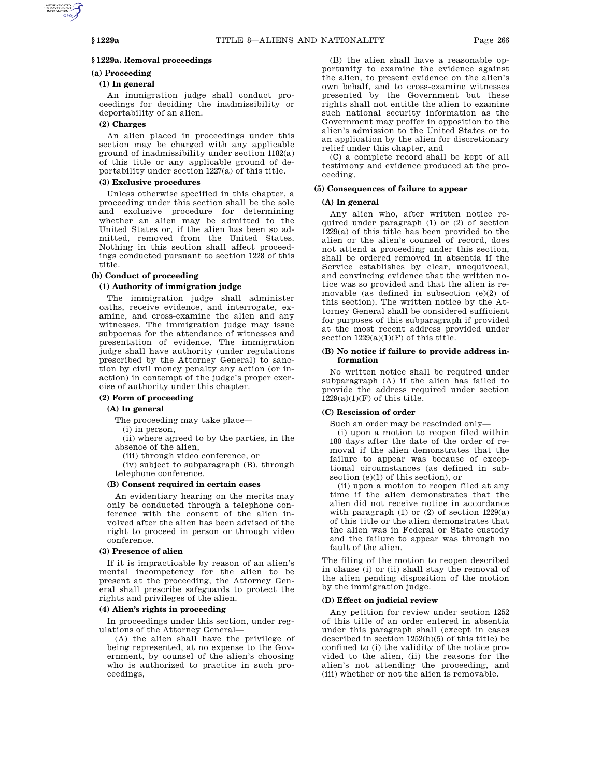# **§ 1229a. Removal proceedings**

#### **(a) Proceeding**

# **(1) In general**

An immigration judge shall conduct proceedings for deciding the inadmissibility or deportability of an alien.

# **(2) Charges**

An alien placed in proceedings under this section may be charged with any applicable ground of inadmissibility under section 1182(a) of this title or any applicable ground of deportability under section 1227(a) of this title.

# **(3) Exclusive procedures**

Unless otherwise specified in this chapter, a proceeding under this section shall be the sole and exclusive procedure for determining whether an alien may be admitted to the United States or, if the alien has been so admitted, removed from the United States. Nothing in this section shall affect proceedings conducted pursuant to section 1228 of this title.

### **(b) Conduct of proceeding**

### **(1) Authority of immigration judge**

The immigration judge shall administer oaths, receive evidence, and interrogate, examine, and cross-examine the alien and any witnesses. The immigration judge may issue subpoenas for the attendance of witnesses and presentation of evidence. The immigration judge shall have authority (under regulations prescribed by the Attorney General) to sanction by civil money penalty any action (or inaction) in contempt of the judge's proper exercise of authority under this chapter.

# **(2) Form of proceeding**

### **(A) In general**

The proceeding may take place— (i) in person,

(ii) where agreed to by the parties, in the absence of the alien,

(iii) through video conference, or

(iv) subject to subparagraph (B), through telephone conference.

# **(B) Consent required in certain cases**

An evidentiary hearing on the merits may only be conducted through a telephone conference with the consent of the alien involved after the alien has been advised of the right to proceed in person or through video conference.

#### **(3) Presence of alien**

If it is impracticable by reason of an alien's mental incompetency for the alien to be present at the proceeding, the Attorney General shall prescribe safeguards to protect the rights and privileges of the alien.

# **(4) Alien's rights in proceeding**

In proceedings under this section, under regulations of the Attorney General—

(A) the alien shall have the privilege of being represented, at no expense to the Government, by counsel of the alien's choosing who is authorized to practice in such proceedings,

(B) the alien shall have a reasonable opportunity to examine the evidence against the alien, to present evidence on the alien's own behalf, and to cross-examine witnesses presented by the Government but these rights shall not entitle the alien to examine such national security information as the Government may proffer in opposition to the alien's admission to the United States or to an application by the alien for discretionary relief under this chapter, and

(C) a complete record shall be kept of all testimony and evidence produced at the proceeding.

# **(5) Consequences of failure to appear**

# **(A) In general**

Any alien who, after written notice required under paragraph (1) or (2) of section 1229(a) of this title has been provided to the alien or the alien's counsel of record, does not attend a proceeding under this section, shall be ordered removed in absentia if the Service establishes by clear, unequivocal, and convincing evidence that the written notice was so provided and that the alien is removable (as defined in subsection (e)(2) of this section). The written notice by the Attorney General shall be considered sufficient for purposes of this subparagraph if provided at the most recent address provided under section  $1229(a)(1)(F)$  of this title.

#### **(B) No notice if failure to provide address information**

No written notice shall be required under subparagraph (A) if the alien has failed to provide the address required under section  $1229(a)(1)(F)$  of this title.

# **(C) Rescission of order**

Such an order may be rescinded only—

(i) upon a motion to reopen filed within 180 days after the date of the order of removal if the alien demonstrates that the failure to appear was because of exceptional circumstances (as defined in subsection (e)(1) of this section), or

(ii) upon a motion to reopen filed at any time if the alien demonstrates that the alien did not receive notice in accordance with paragraph  $(1)$  or  $(2)$  of section  $1229(a)$ of this title or the alien demonstrates that the alien was in Federal or State custody and the failure to appear was through no fault of the alien.

The filing of the motion to reopen described in clause (i) or (ii) shall stay the removal of the alien pending disposition of the motion by the immigration judge.

### **(D) Effect on judicial review**

Any petition for review under section 1252 of this title of an order entered in absentia under this paragraph shall (except in cases described in section 1252(b)(5) of this title) be confined to (i) the validity of the notice provided to the alien, (ii) the reasons for the alien's not attending the proceeding, and (iii) whether or not the alien is removable.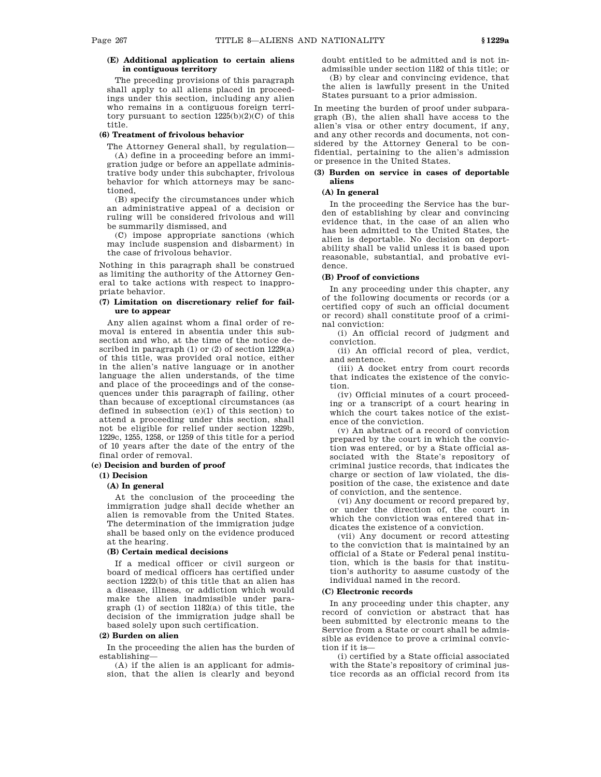# **(E) Additional application to certain aliens in contiguous territory**

The preceding provisions of this paragraph shall apply to all aliens placed in proceedings under this section, including any alien who remains in a contiguous foreign territory pursuant to section  $1225(b)(2)(C)$  of this title.

# **(6) Treatment of frivolous behavior**

The Attorney General shall, by regulation— (A) define in a proceeding before an immigration judge or before an appellate administrative body under this subchapter, frivolous behavior for which attorneys may be sanctioned,

(B) specify the circumstances under which an administrative appeal of a decision or ruling will be considered frivolous and will be summarily dismissed, and

(C) impose appropriate sanctions (which may include suspension and disbarment) in the case of frivolous behavior.

Nothing in this paragraph shall be construed as limiting the authority of the Attorney General to take actions with respect to inappropriate behavior.

### **(7) Limitation on discretionary relief for failure to appear**

Any alien against whom a final order of removal is entered in absentia under this subsection and who, at the time of the notice described in paragraph (1) or (2) of section 1229(a) of this title, was provided oral notice, either in the alien's native language or in another language the alien understands, of the time and place of the proceedings and of the consequences under this paragraph of failing, other than because of exceptional circumstances (as defined in subsection  $(e)(1)$  of this section) to attend a proceeding under this section, shall not be eligible for relief under section 1229b, 1229c, 1255, 1258, or 1259 of this title for a period of 10 years after the date of the entry of the final order of removal.

### **(c) Decision and burden of proof**

### **(1) Decision**

### **(A) In general**

At the conclusion of the proceeding the immigration judge shall decide whether an alien is removable from the United States. The determination of the immigration judge shall be based only on the evidence produced at the hearing.

# **(B) Certain medical decisions**

If a medical officer or civil surgeon or board of medical officers has certified under section 1222(b) of this title that an alien has a disease, illness, or addiction which would make the alien inadmissible under paragraph (1) of section 1182(a) of this title, the decision of the immigration judge shall be based solely upon such certification.

### **(2) Burden on alien**

In the proceeding the alien has the burden of establishing—

(A) if the alien is an applicant for admission, that the alien is clearly and beyond doubt entitled to be admitted and is not inadmissible under section 1182 of this title; or (B) by clear and convincing evidence, that the alien is lawfully present in the United States pursuant to a prior admission.

In meeting the burden of proof under subparagraph (B), the alien shall have access to the alien's visa or other entry document, if any, and any other records and documents, not considered by the Attorney General to be confidential, pertaining to the alien's admission or presence in the United States.

# **(3) Burden on service in cases of deportable aliens**

### **(A) In general**

In the proceeding the Service has the burden of establishing by clear and convincing evidence that, in the case of an alien who has been admitted to the United States, the alien is deportable. No decision on deportability shall be valid unless it is based upon reasonable, substantial, and probative evidence.

# **(B) Proof of convictions**

In any proceeding under this chapter, any of the following documents or records (or a certified copy of such an official document or record) shall constitute proof of a criminal conviction:

(i) An official record of judgment and conviction.

(ii) An official record of plea, verdict, and sentence.

(iii) A docket entry from court records that indicates the existence of the conviction.

(iv) Official minutes of a court proceeding or a transcript of a court hearing in which the court takes notice of the existence of the conviction.

(v) An abstract of a record of conviction prepared by the court in which the conviction was entered, or by a State official associated with the State's repository of criminal justice records, that indicates the charge or section of law violated, the disposition of the case, the existence and date of conviction, and the sentence.

(vi) Any document or record prepared by, or under the direction of, the court in which the conviction was entered that indicates the existence of a conviction.

(vii) Any document or record attesting to the conviction that is maintained by an official of a State or Federal penal institution, which is the basis for that institution's authority to assume custody of the individual named in the record.

#### **(C) Electronic records**

In any proceeding under this chapter, any record of conviction or abstract that has been submitted by electronic means to the Service from a State or court shall be admissible as evidence to prove a criminal conviction if it is—

(i) certified by a State official associated with the State's repository of criminal justice records as an official record from its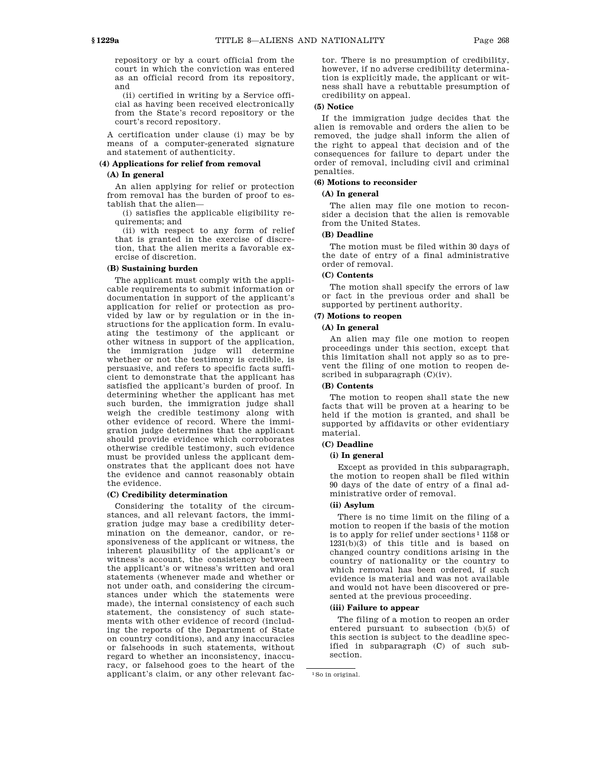repository or by a court official from the court in which the conviction was entered as an official record from its repository, and

(ii) certified in writing by a Service official as having been received electronically from the State's record repository or the court's record repository.

A certification under clause (i) may be by means of a computer-generated signature and statement of authenticity.

# **(4) Applications for relief from removal**

### **(A) In general**

An alien applying for relief or protection from removal has the burden of proof to establish that the alien—

(i) satisfies the applicable eligibility requirements; and

(ii) with respect to any form of relief that is granted in the exercise of discretion, that the alien merits a favorable exercise of discretion.

# **(B) Sustaining burden**

The applicant must comply with the applicable requirements to submit information or documentation in support of the applicant's application for relief or protection as provided by law or by regulation or in the instructions for the application form. In evaluating the testimony of the applicant or other witness in support of the application, the immigration judge will determine whether or not the testimony is credible, is persuasive, and refers to specific facts sufficient to demonstrate that the applicant has satisfied the applicant's burden of proof. In determining whether the applicant has met such burden, the immigration judge shall weigh the credible testimony along with other evidence of record. Where the immigration judge determines that the applicant should provide evidence which corroborates otherwise credible testimony, such evidence must be provided unless the applicant demonstrates that the applicant does not have the evidence and cannot reasonably obtain the evidence.

# **(C) Credibility determination**

Considering the totality of the circumstances, and all relevant factors, the immigration judge may base a credibility determination on the demeanor, candor, or responsiveness of the applicant or witness, the inherent plausibility of the applicant's or witness's account, the consistency between the applicant's or witness's written and oral statements (whenever made and whether or not under oath, and considering the circumstances under which the statements were made), the internal consistency of each such statement, the consistency of such statements with other evidence of record (including the reports of the Department of State on country conditions), and any inaccuracies or falsehoods in such statements, without regard to whether an inconsistency, inaccuracy, or falsehood goes to the heart of the applicant's claim, or any other relevant factor. There is no presumption of credibility, however, if no adverse credibility determination is explicitly made, the applicant or witness shall have a rebuttable presumption of credibility on appeal.

# **(5) Notice**

If the immigration judge decides that the alien is removable and orders the alien to be removed, the judge shall inform the alien of the right to appeal that decision and of the consequences for failure to depart under the order of removal, including civil and criminal penalties.

# **(6) Motions to reconsider**

# **(A) In general**

The alien may file one motion to reconsider a decision that the alien is removable from the United States.

#### **(B) Deadline**

The motion must be filed within 30 days of the date of entry of a final administrative order of removal.

# **(C) Contents**

The motion shall specify the errors of law or fact in the previous order and shall be supported by pertinent authority.

# **(7) Motions to reopen**

# **(A) In general**

An alien may file one motion to reopen proceedings under this section, except that this limitation shall not apply so as to prevent the filing of one motion to reopen described in subparagraph (C)(iv).

### **(B) Contents**

The motion to reopen shall state the new facts that will be proven at a hearing to be held if the motion is granted, and shall be supported by affidavits or other evidentiary material.

### **(C) Deadline**

### **(i) In general**

Except as provided in this subparagraph, the motion to reopen shall be filed within 90 days of the date of entry of a final administrative order of removal.

# **(ii) Asylum**

There is no time limit on the filing of a motion to reopen if the basis of the motion is to apply for relief under sections 1 1158 or 1231(b)(3) of this title and is based on changed country conditions arising in the country of nationality or the country to which removal has been ordered, if such evidence is material and was not available and would not have been discovered or presented at the previous proceeding.

# **(iii) Failure to appear**

The filing of a motion to reopen an order entered pursuant to subsection (b)(5) of this section is subject to the deadline specified in subparagraph (C) of such subsection.

1So in original.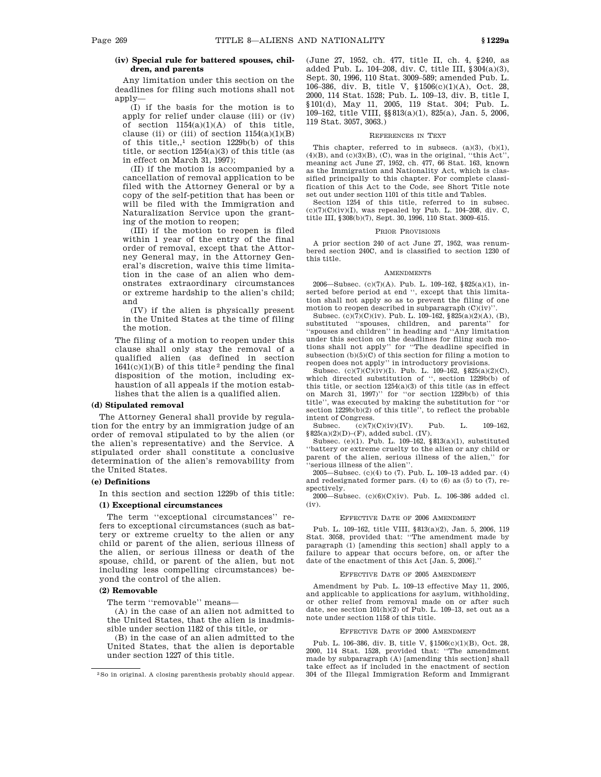# **(iv) Special rule for battered spouses, children, and parents**

Any limitation under this section on the deadlines for filing such motions shall not apply—

(I) if the basis for the motion is to apply for relief under clause (iii) or (iv) of section  $1154(a)(1)(A)$  of this title, clause (ii) or (iii) of section  $1154(a)(1)(B)$ of this title, $<sup>1</sup>$  section 1229b(b) of this</sup> title, or section 1254(a)(3) of this title (as in effect on March 31, 1997);

(II) if the motion is accompanied by a cancellation of removal application to be filed with the Attorney General or by a copy of the self-petition that has been or will be filed with the Immigration and Naturalization Service upon the granting of the motion to reopen;

(III) if the motion to reopen is filed within 1 year of the entry of the final order of removal, except that the Attorney General may, in the Attorney General's discretion, waive this time limitation in the case of an alien who demonstrates extraordinary circumstances or extreme hardship to the alien's child; and

(IV) if the alien is physically present in the United States at the time of filing the motion.

The filing of a motion to reopen under this clause shall only stay the removal of a qualified alien (as defined in section  $1641(c)(1)(B)$  of this title<sup>2</sup> pending the final disposition of the motion, including exhaustion of all appeals if the motion establishes that the alien is a qualified alien.

### **(d) Stipulated removal**

The Attorney General shall provide by regulation for the entry by an immigration judge of an order of removal stipulated to by the alien (or the alien's representative) and the Service. A stipulated order shall constitute a conclusive determination of the alien's removability from the United States.

### **(e) Definitions**

In this section and section 1229b of this title:

# **(1) Exceptional circumstances**

The term ''exceptional circumstances'' refers to exceptional circumstances (such as battery or extreme cruelty to the alien or any child or parent of the alien, serious illness of the alien, or serious illness or death of the spouse, child, or parent of the alien, but not including less compelling circumstances) beyond the control of the alien.

#### **(2) Removable**

The term ''removable'' means—

(A) in the case of an alien not admitted to the United States, that the alien is inadmissible under section 1182 of this title, or

(B) in the case of an alien admitted to the United States, that the alien is deportable under section 1227 of this title.

(June 27, 1952, ch. 477, title II, ch. 4, §240, as added Pub. L. 104–208, div. C, title III, §304(a)(3), Sept. 30, 1996, 110 Stat. 3009–589; amended Pub. L. 106–386, div. B, title V, §1506(c)(1)(A), Oct. 28, 2000, 114 Stat. 1528; Pub. L. 109–13, div. B, title I, §101(d), May 11, 2005, 119 Stat. 304; Pub. L. 109–162, title VIII, §§813(a)(1), 825(a), Jan. 5, 2006, 119 Stat. 3057, 3063.)

#### REFERENCES IN TEXT

This chapter, referred to in subsecs.  $(a)(3)$ ,  $(b)(1)$ ,  $(4)(B)$ , and  $(c)(3)(B)$ ,  $(C)$ , was in the original, "this Act" meaning act June 27, 1952, ch. 477, 66 Stat. 163, known as the Immigration and Nationality Act, which is classified principally to this chapter. For complete classification of this Act to the Code, see Short Title note set out under section 1101 of this title and Tables.

Section 1254 of this title, referred to in subsec.  $(c)(7)(C)(iv)(I)$ , was repealed by Pub. L. 104–208, div. C, title III, §308(b)(7), Sept. 30, 1996, 110 Stat. 3009–615.

#### PRIOR PROVISIONS

A prior section 240 of act June 27, 1952, was renumbered section 240C, and is classified to section 1230 of this title.

#### **AMENDMENTS**

2006—Subsec. (c)(7)(A). Pub. L. 109–162, §825(a)(1), inserted before period at end '', except that this limitation shall not apply so as to prevent the filing of one motion to reopen described in subparagraph (C)(iv)''.

Subsec. (c)(7)(C)(iv). Pub. L. 109-162, §825(a)(2)(A), (B), substituted ''spouses, children, and parents'' for 'spouses and children'' in heading and "Any limitation under this section on the deadlines for filing such motions shall not apply'' for ''The deadline specified in subsection  $(b)(5)(C)$  of this section for filing a motion to reopen does not apply'' in introductory provisions.

Subsec. (c)(7)(C)(iv)(I). Pub. L. 109–162, §825(a)(2)(C), which directed substitution of ", section 1229b(b) of this title, or section  $1254(a)(3)$  of this title (as in effect on March 31, 1997)'' for ''or section 1229b(b) of this title'', was executed by making the substitution for ''or section 1229b(b)(2) of this title'', to reflect the probable intent of Congress.

Subsec. (c)(7)(C)(iv)(IV). Pub. L. 109-162,  $\S\,825(a)(2)(D)$  (F), added subcl. (IV).

Subsec. (e)(1). Pub. L. 109–162, §813(a)(1), substituted ''battery or extreme cruelty to the alien or any child or parent of the alien, serious illness of the alien,'' for 'serious illness of the alien''.

2005—Subsec. (c)(4) to (7). Pub. L. 109–13 added par. (4) and redesignated former pars. (4) to (6) as (5) to (7), respectively.

2000—Subsec. (c)(6)(C)(iv). Pub. L. 106–386 added cl. (iv).

#### EFFECTIVE DATE OF 2006 AMENDMENT

Pub. L. 109–162, title VIII, §813(a)(2), Jan. 5, 2006, 119 Stat. 3058, provided that: "The amendment made by paragraph (1) [amending this section] shall apply to a failure to appear that occurs before, on, or after the date of the enactment of this Act [Jan. 5, 2006].''

#### EFFECTIVE DATE OF 2005 AMENDMENT

Amendment by Pub. L. 109–13 effective May 11, 2005, and applicable to applications for asylum, withholding, or other relief from removal made on or after such date, see section 101(h)(2) of Pub. L. 109–13, set out as a note under section 1158 of this title.

#### EFFECTIVE DATE OF 2000 AMENDMENT

Pub. L. 106–386, div. B, title V, §1506(c)(1)(B), Oct. 28, 2000, 114 Stat. 1528, provided that: ''The amendment made by subparagraph (A) [amending this section] shall take effect as if included in the enactment of section 304 of the Illegal Immigration Reform and Immigrant

<sup>2</sup>So in original. A closing parenthesis probably should appear.